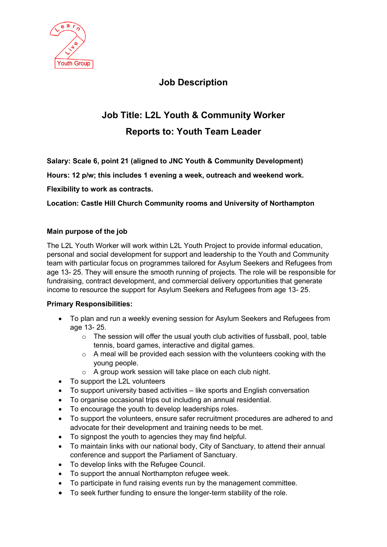

## **Job Description**

# **Job Title: L2L Youth & Community Worker Reports to: Youth Team Leader**

**Salary: Scale 6, point 21 (aligned to JNC Youth & Community Development)**

**Hours: 12 p/w; this includes 1 evening a week, outreach and weekend work.** 

### **Flexibility to work as contracts.**

**Location: Castle Hill Church Community rooms and University of Northampton**

#### **Main purpose of the job**

The L2L Youth Worker will work within L2L Youth Project to provide informal education, personal and social development for support and leadership to the Youth and Community team with particular focus on programmes tailored for Asylum Seekers and Refugees from age 13- 25. They will ensure the smooth running of projects. The role will be responsible for fundraising, contract development, and commercial delivery opportunities that generate income to resource the support for Asylum Seekers and Refugees from age 13- 25.

#### **Primary Responsibilities:**

- To plan and run a weekly evening session for Asylum Seekers and Refugees from age 13- 25.
	- $\circ$  The session will offer the usual youth club activities of fussball, pool, table tennis, board games, interactive and digital games.
	- $\circ$  A meal will be provided each session with the volunteers cooking with the young people.
	- o A group work session will take place on each club night.
- To support the L2L volunteers
- To support university based activities like sports and English conversation
- To organise occasional trips out including an annual residential.
- To encourage the youth to develop leaderships roles.
- To support the volunteers, ensure safer recruitment procedures are adhered to and advocate for their development and training needs to be met.
- To signpost the youth to agencies they may find helpful.
- To maintain links with our national body, City of Sanctuary, to attend their annual conference and support the Parliament of Sanctuary.
- To develop links with the Refugee Council.
- To support the annual Northampton refugee week.
- To participate in fund raising events run by the management committee.
- To seek further funding to ensure the longer-term stability of the role.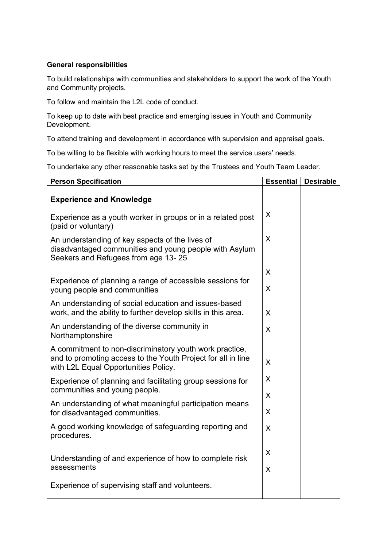#### **General responsibilities**

To build relationships with communities and stakeholders to support the work of the Youth and Community projects.

To follow and maintain the L2L code of conduct.

To keep up to date with best practice and emerging issues in Youth and Community Development.

To attend training and development in accordance with supervision and appraisal goals.

To be willing to be flexible with working hours to meet the service users' needs.

To undertake any other reasonable tasks set by the Trustees and Youth Team Leader.

| <b>Person Specification</b>                                                                                                                                     | <b>Essential</b> | <b>Desirable</b> |
|-----------------------------------------------------------------------------------------------------------------------------------------------------------------|------------------|------------------|
| <b>Experience and Knowledge</b>                                                                                                                                 |                  |                  |
| Experience as a youth worker in groups or in a related post<br>(paid or voluntary)                                                                              | X                |                  |
| An understanding of key aspects of the lives of<br>disadvantaged communities and young people with Asylum<br>Seekers and Refugees from age 13-25                | X                |                  |
|                                                                                                                                                                 | X                |                  |
| Experience of planning a range of accessible sessions for<br>young people and communities                                                                       | X                |                  |
| An understanding of social education and issues-based<br>work, and the ability to further develop skills in this area.                                          | X                |                  |
| An understanding of the diverse community in<br>Northamptonshire                                                                                                | X                |                  |
| A commitment to non-discriminatory youth work practice,<br>and to promoting access to the Youth Project for all in line<br>with L2L Equal Opportunities Policy. | X                |                  |
| Experience of planning and facilitating group sessions for<br>communities and young people.                                                                     | X                |                  |
| An understanding of what meaningful participation means<br>for disadvantaged communities.                                                                       | X<br>X           |                  |
| A good working knowledge of safeguarding reporting and<br>procedures.                                                                                           | X                |                  |
| Understanding of and experience of how to complete risk                                                                                                         | X                |                  |
| assessments                                                                                                                                                     | X                |                  |
| Experience of supervising staff and volunteers.                                                                                                                 |                  |                  |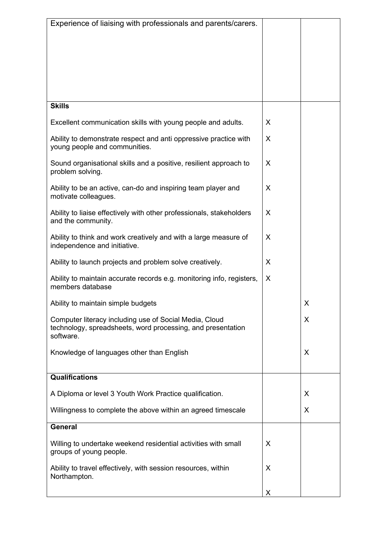| Experience of liaising with professionals and parents/carers.                                                                      |   |   |
|------------------------------------------------------------------------------------------------------------------------------------|---|---|
|                                                                                                                                    |   |   |
|                                                                                                                                    |   |   |
| <b>Skills</b>                                                                                                                      |   |   |
| Excellent communication skills with young people and adults.                                                                       | X |   |
| Ability to demonstrate respect and anti oppressive practice with<br>young people and communities.                                  | X |   |
| Sound organisational skills and a positive, resilient approach to<br>problem solving.                                              | X |   |
| Ability to be an active, can-do and inspiring team player and<br>motivate colleagues.                                              | X |   |
| Ability to liaise effectively with other professionals, stakeholders<br>and the community.                                         | X |   |
| Ability to think and work creatively and with a large measure of<br>independence and initiative.                                   | X |   |
| Ability to launch projects and problem solve creatively.                                                                           | X |   |
| Ability to maintain accurate records e.g. monitoring info, registers,<br>members database                                          | X |   |
| Ability to maintain simple budgets                                                                                                 |   | Χ |
| Computer literacy including use of Social Media, Cloud<br>technology, spreadsheets, word processing, and presentation<br>software. |   | X |
| Knowledge of languages other than English                                                                                          |   | X |
| <b>Qualifications</b>                                                                                                              |   |   |
| A Diploma or level 3 Youth Work Practice qualification.                                                                            |   | X |
| Willingness to complete the above within an agreed timescale                                                                       |   | X |
| <b>General</b>                                                                                                                     |   |   |
| Willing to undertake weekend residential activities with small<br>groups of young people.                                          | X |   |
| Ability to travel effectively, with session resources, within<br>Northampton.                                                      | X |   |
|                                                                                                                                    | X |   |